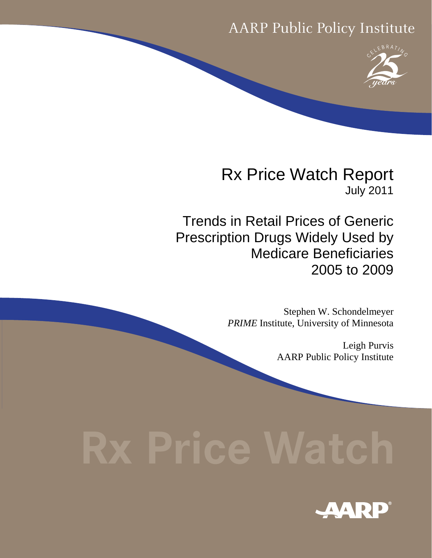# AARP Public Policy Institute



Rx Price Watch Report July 2011

Trends in Retail Prices of Generic Prescription Drugs Widely Used by Medicare Beneficiaries 2005 to 2009

> Stephen W. Schondelmeyer *PRIME* Institute, University of Minnesota

> > Leigh Purvis AARP Public Policy Institute

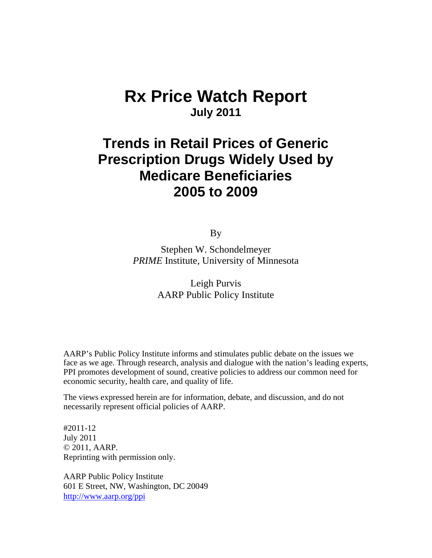# **Rx Price Watch Report July 2011**

# **Trends in Retail Prices of Generic Prescription Drugs Widely Used by Medicare Beneficiaries 2005 to 2009**

By

Stephen W. Schondelmeyer *PRIME* Institute, University of Minnesota

> Leigh Purvis AARP Public Policy Institute

AARP's Public Policy Institute informs and stimulates public debate on the issues we face as we age. Through research, analysis and dialogue with the nation's leading experts, PPI promotes development of sound, creative policies to address our common need for economic security, health care, and quality of life.

The views expressed herein are for information, debate, and discussion, and do not necessarily represent official policies of AARP.

#2011-12 July 2011 © 2011, AARP. Reprinting with permission only.

AARP Public Policy Institute 601 E Street, NW, Washington, DC 20049 http://www.aarp.org/ppi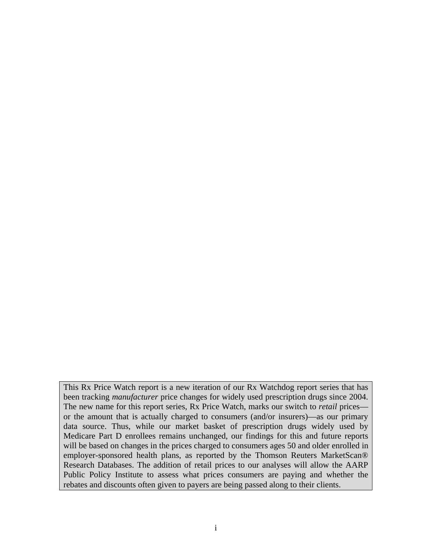This Rx Price Watch report is a new iteration of our Rx Watchdog report series that has been tracking *manufacturer* price changes for widely used prescription drugs since 2004. The new name for this report series, Rx Price Watch, marks our switch to *retail* prices or the amount that is actually charged to consumers (and/or insurers)—as our primary data source. Thus, while our market basket of prescription drugs widely used by Medicare Part D enrollees remains unchanged, our findings for this and future reports will be based on changes in the prices charged to consumers ages 50 and older enrolled in employer-sponsored health plans, as reported by the Thomson Reuters MarketScan® Research Databases. The addition of retail prices to our analyses will allow the AARP Public Policy Institute to assess what prices consumers are paying and whether the rebates and discounts often given to payers are being passed along to their clients.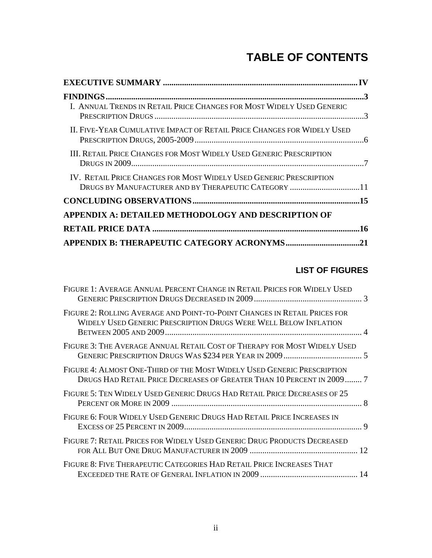# **TABLE OF CONTENTS**

| I. ANNUAL TRENDS IN RETAIL PRICE CHANGES FOR MOST WIDELY USED GENERIC   |  |
|-------------------------------------------------------------------------|--|
| II. FIVE-YEAR CUMULATIVE IMPACT OF RETAIL PRICE CHANGES FOR WIDELY USED |  |
| III. RETAIL PRICE CHANGES FOR MOST WIDELY USED GENERIC PRESCRIPTION     |  |
| IV. RETAIL PRICE CHANGES FOR MOST WIDELY USED GENERIC PRESCRIPTION      |  |
| DRUGS BY MANUFACTURER AND BY THERAPEUTIC CATEGORY 11                    |  |
|                                                                         |  |
| <b>APPENDIX A: DETAILED METHODOLOGY AND DESCRIPTION OF</b>              |  |
|                                                                         |  |
|                                                                         |  |

# **LIST OF FIGURES**

| FIGURE 1: AVERAGE ANNUAL PERCENT CHANGE IN RETAIL PRICES FOR WIDELY USED                                                                          |  |
|---------------------------------------------------------------------------------------------------------------------------------------------------|--|
| FIGURE 2: ROLLING AVERAGE AND POINT-TO-POINT CHANGES IN RETAIL PRICES FOR<br>WIDELY USED GENERIC PRESCRIPTION DRUGS WERE WELL BELOW INFLATION     |  |
| FIGURE 3: THE AVERAGE ANNUAL RETAIL COST OF THERAPY FOR MOST WIDELY USED                                                                          |  |
| FIGURE 4: ALMOST ONE-THIRD OF THE MOST WIDELY USED GENERIC PRESCRIPTION<br>DRUGS HAD RETAIL PRICE DECREASES OF GREATER THAN 10 PERCENT IN 2009  7 |  |
| FIGURE 5: TEN WIDELY USED GENERIC DRUGS HAD RETAIL PRICE DECREASES OF 25                                                                          |  |
| FIGURE 6: FOUR WIDELY USED GENERIC DRUGS HAD RETAIL PRICE INCREASES IN                                                                            |  |
| FIGURE 7: RETAIL PRICES FOR WIDELY USED GENERIC DRUG PRODUCTS DECREASED                                                                           |  |
| FIGURE 8: FIVE THERAPEUTIC CATEGORIES HAD RETAIL PRICE INCREASES THAT                                                                             |  |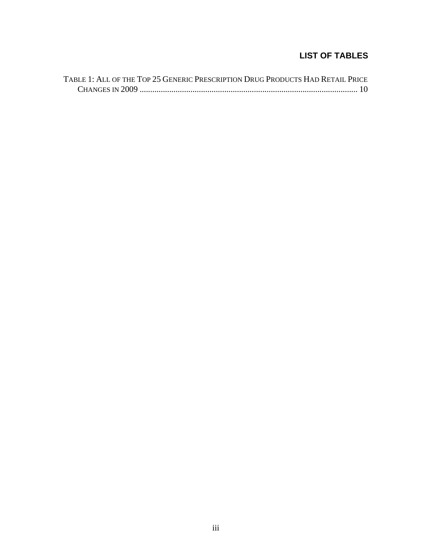## **LIST OF TABLES**

| TABLE 1: ALL OF THE TOP 25 GENERIC PRESCRIPTION DRUG PRODUCTS HAD RETAIL PRICE |  |
|--------------------------------------------------------------------------------|--|
|                                                                                |  |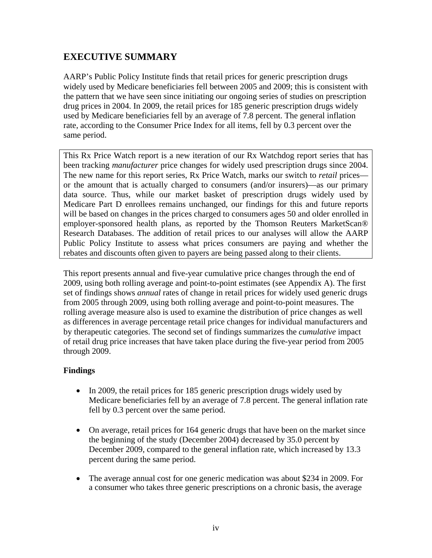## **EXECUTIVE SUMMARY**

AARP's Public Policy Institute finds that retail prices for generic prescription drugs widely used by Medicare beneficiaries fell between 2005 and 2009; this is consistent with the pattern that we have seen since initiating our ongoing series of studies on prescription drug prices in 2004. In 2009, the retail prices for 185 generic prescription drugs widely used by Medicare beneficiaries fell by an average of 7.8 percent. The general inflation rate, according to the Consumer Price Index for all items, fell by 0.3 percent over the same period.

This Rx Price Watch report is a new iteration of our Rx Watchdog report series that has been tracking *manufacturer* price changes for widely used prescription drugs since 2004. The new name for this report series, Rx Price Watch, marks our switch to *retail* prices or the amount that is actually charged to consumers (and/or insurers)—as our primary data source. Thus, while our market basket of prescription drugs widely used by Medicare Part D enrollees remains unchanged, our findings for this and future reports will be based on changes in the prices charged to consumers ages 50 and older enrolled in employer-sponsored health plans, as reported by the Thomson Reuters MarketScan® Research Databases. The addition of retail prices to our analyses will allow the AARP Public Policy Institute to assess what prices consumers are paying and whether the rebates and discounts often given to payers are being passed along to their clients.

This report presents annual and five-year cumulative price changes through the end of 2009, using both rolling average and point-to-point estimates (see Appendix A). The first set of findings shows *annual* rates of change in retail prices for widely used generic drugs from 2005 through 2009, using both rolling average and point-to-point measures. The rolling average measure also is used to examine the distribution of price changes as well as differences in average percentage retail price changes for individual manufacturers and by therapeutic categories. The second set of findings summarizes the *cumulative* impact of retail drug price increases that have taken place during the five-year period from 2005 through 2009.

#### **Findings**

- In 2009, the retail prices for 185 generic prescription drugs widely used by Medicare beneficiaries fell by an average of 7.8 percent. The general inflation rate fell by 0.3 percent over the same period.
- On average, retail prices for 164 generic drugs that have been on the market since the beginning of the study (December 2004) decreased by 35.0 percent by December 2009, compared to the general inflation rate, which increased by 13.3 percent during the same period.
- The average annual cost for one generic medication was about \$234 in 2009. For a consumer who takes three generic prescriptions on a chronic basis, the average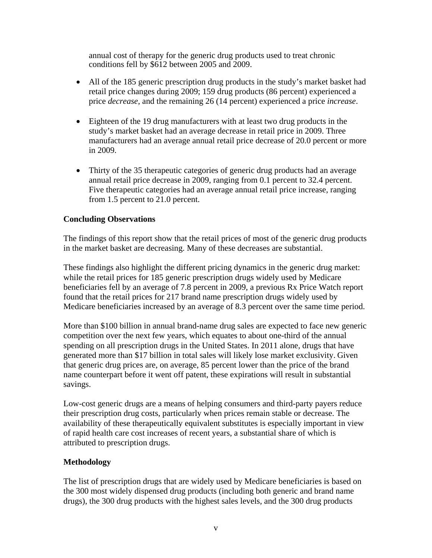annual cost of therapy for the generic drug products used to treat chronic conditions fell by \$612 between 2005 and 2009.

- All of the 185 generic prescription drug products in the study's market basket had retail price changes during 2009; 159 drug products (86 percent) experienced a price *decrease*, and the remaining 26 (14 percent) experienced a price *increase*.
- Eighteen of the 19 drug manufacturers with at least two drug products in the study's market basket had an average decrease in retail price in 2009. Three manufacturers had an average annual retail price decrease of 20.0 percent or more in 2009.
- Thirty of the 35 therapeutic categories of generic drug products had an average annual retail price decrease in 2009, ranging from 0.1 percent to 32.4 percent. Five therapeutic categories had an average annual retail price increase, ranging from 1.5 percent to 21.0 percent.

#### **Concluding Observations**

The findings of this report show that the retail prices of most of the generic drug products in the market basket are decreasing. Many of these decreases are substantial.

These findings also highlight the different pricing dynamics in the generic drug market: while the retail prices for 185 generic prescription drugs widely used by Medicare beneficiaries fell by an average of 7.8 percent in 2009, a previous Rx Price Watch report found that the retail prices for 217 brand name prescription drugs widely used by Medicare beneficiaries increased by an average of 8.3 percent over the same time period.

More than \$100 billion in annual brand-name drug sales are expected to face new generic competition over the next few years, which equates to about one-third of the annual spending on all prescription drugs in the United States. In 2011 alone, drugs that have generated more than \$17 billion in total sales will likely lose market exclusivity. Given that generic drug prices are, on average, 85 percent lower than the price of the brand name counterpart before it went off patent, these expirations will result in substantial savings.

Low-cost generic drugs are a means of helping consumers and third-party payers reduce their prescription drug costs, particularly when prices remain stable or decrease. The availability of these therapeutically equivalent substitutes is especially important in view of rapid health care cost increases of recent years, a substantial share of which is attributed to prescription drugs.

### **Methodology**

The list of prescription drugs that are widely used by Medicare beneficiaries is based on the 300 most widely dispensed drug products (including both generic and brand name drugs), the 300 drug products with the highest sales levels, and the 300 drug products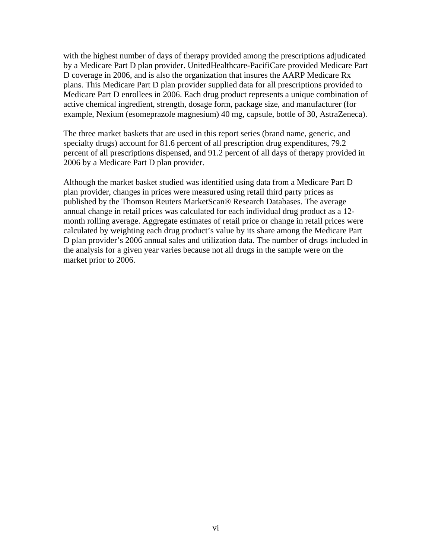with the highest number of days of therapy provided among the prescriptions adjudicated by a Medicare Part D plan provider. UnitedHealthcare-PacifiCare provided Medicare Part D coverage in 2006, and is also the organization that insures the AARP Medicare Rx plans. This Medicare Part D plan provider supplied data for all prescriptions provided to Medicare Part D enrollees in 2006. Each drug product represents a unique combination of active chemical ingredient, strength, dosage form, package size, and manufacturer (for example, Nexium (esomeprazole magnesium) 40 mg, capsule, bottle of 30, AstraZeneca).

The three market baskets that are used in this report series (brand name, generic, and specialty drugs) account for 81.6 percent of all prescription drug expenditures, 79.2 percent of all prescriptions dispensed, and 91.2 percent of all days of therapy provided in 2006 by a Medicare Part D plan provider.

Although the market basket studied was identified using data from a Medicare Part D plan provider, changes in prices were measured using retail third party prices as published by the Thomson Reuters MarketScan® Research Databases. The average annual change in retail prices was calculated for each individual drug product as a 12 month rolling average. Aggregate estimates of retail price or change in retail prices were calculated by weighting each drug product's value by its share among the Medicare Part D plan provider's 2006 annual sales and utilization data. The number of drugs included in the analysis for a given year varies because not all drugs in the sample were on the market prior to 2006.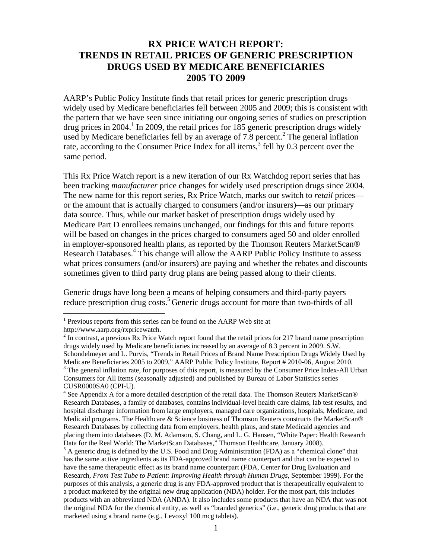### **RX PRICE WATCH REPORT: TRENDS IN RETAIL PRICES OF GENERIC PRESCRIPTION DRUGS USED BY MEDICARE BENEFICIARIES 2005 TO 2009**

AARP's Public Policy Institute finds that retail prices for generic prescription drugs widely used by Medicare beneficiaries fell between 2005 and 2009; this is consistent with the pattern that we have seen since initiating our ongoing series of studies on prescription drug prices in 2004.<sup>1</sup> In 2009, the retail prices for 185 generic prescription drugs widely used by Medicare beneficiaries fell by an average of  $7.8$  percent.<sup>2</sup> The general inflation rate, according to the Consumer Price Index for all items, $3$  fell by 0.3 percent over the same period.

This Rx Price Watch report is a new iteration of our Rx Watchdog report series that has been tracking *manufacturer* price changes for widely used prescription drugs since 2004. The new name for this report series, Rx Price Watch, marks our switch to *retail* prices or the amount that is actually charged to consumers (and/or insurers)—as our primary data source. Thus, while our market basket of prescription drugs widely used by Medicare Part D enrollees remains unchanged, our findings for this and future reports will be based on changes in the prices charged to consumers aged 50 and older enrolled in employer-sponsored health plans, as reported by the Thomson Reuters MarketScan® Research Databases.<sup>4</sup> This change will allow the AARP Public Policy Institute to assess what prices consumers (and/or insurers) are paying and whether the rebates and discounts sometimes given to third party drug plans are being passed along to their clients.

Generic drugs have long been a means of helping consumers and third-party payers reduce prescription drug costs.<sup>5</sup> Generic drugs account for more than two-thirds of all

<sup>&</sup>lt;sup>1</sup> Previous reports from this series can be found on the AARP Web site at

http://www.aarp.org/rxpricewatch.

 $2 \text{ n}$  contrast, a previous Rx Price Watch report found that the retail prices for 217 brand name prescription drugs widely used by Medicare beneficiaries increased by an average of 8.3 percent in 2009. S.W. Schondelmeyer and L. Purvis, "Trends in Retail Prices of Brand Name Prescription Drugs Widely Used by Medicare Beneficiaries 2005 to 2009," AARP Public Policy Institute, Report # 2010-06, August 2010. <sup>3</sup> The general inflation rate, for purposes of this report, is measured by the Consumer Price Index-All Urban Consumers for All Items (seasonally adjusted) and published by Bureau of Labor Statistics series CUSR0000SA0 (CPI-U).

<sup>&</sup>lt;sup>4</sup> See Appendix A for a more detailed description of the retail data. The Thomson Reuters MarketScan® Research Databases, a family of databases, contains individual-level health care claims, lab test results, and hospital discharge information from large employers, managed care organizations, hospitals, Medicare, and Medicaid programs. The Healthcare & Science business of Thomson Reuters constructs the MarketScan® Research Databases by collecting data from employers, health plans, and state Medicaid agencies and placing them into databases (D. M. Adamson, S. Chang, and L. G. Hansen, "White Paper: Health Research Data for the Real World: The MarketScan Databases," Thomson Healthcare, January 2008).

 $<sup>5</sup>$  A generic drug is defined by the U.S. Food and Drug Administration (FDA) as a "chemical clone" that</sup> has the same active ingredients as its FDA-approved brand name counterpart and that can be expected to have the same therapeutic effect as its brand name counterpart (FDA, Center for Drug Evaluation and Research, *From Test Tube to Patient: Improving Health through Human Drugs*, September 1999). For the purposes of this analysis, a generic drug is any FDA-approved product that is therapeutically equivalent to a product marketed by the original new drug application (NDA) holder. For the most part, this includes products with an abbreviated NDA (ANDA). It also includes some products that have an NDA that was not the original NDA for the chemical entity, as well as "branded generics" (i.e., generic drug products that are marketed using a brand name (e.g., Levoxyl 100 mcg tablets).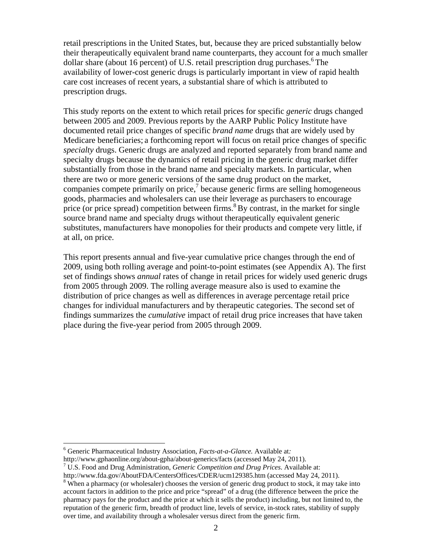retail prescriptions in the United States, but, because they are priced substantially below their therapeutically equivalent brand name counterparts, they account for a much smaller dollar share (about 16 percent) of U.S. retail prescription drug purchases.<sup>6</sup> The availability of lower-cost generic drugs is particularly important in view of rapid health care cost increases of recent years, a substantial share of which is attributed to prescription drugs.

This study reports on the extent to which retail prices for specific *generic* drugs changed between 2005 and 2009. Previous reports by the AARP Public Policy Institute have documented retail price changes of specific *brand name* drugs that are widely used by Medicare beneficiaries; a forthcoming report will focus on retail price changes of specific *specialty* drugs. Generic drugs are analyzed and reported separately from brand name and specialty drugs because the dynamics of retail pricing in the generic drug market differ substantially from those in the brand name and specialty markets. In particular, when there are two or more generic versions of the same drug product on the market, companies compete primarily on price, $7$  because generic firms are selling homogeneous goods, pharmacies and wholesalers can use their leverage as purchasers to encourage price (or price spread) competition between firms.<sup>8</sup> By contrast, in the market for single source brand name and specialty drugs without therapeutically equivalent generic substitutes, manufacturers have monopolies for their products and compete very little, if at all, on price.

This report presents annual and five-year cumulative price changes through the end of 2009, using both rolling average and point-to-point estimates (see Appendix A). The first set of findings shows *annual* rates of change in retail prices for widely used generic drugs from 2005 through 2009. The rolling average measure also is used to examine the distribution of price changes as well as differences in average percentage retail price changes for individual manufacturers and by therapeutic categories. The second set of findings summarizes the *cumulative* impact of retail drug price increases that have taken place during the five-year period from 2005 through 2009.

<sup>6</sup> Generic Pharmaceutical Industry Association, *Facts-at-a-Glance.* Available at*:* 

http://www.gphaonline.org/about-gpha/about-generics/facts (accessed May 24, 2011).

U.S. Food and Drug Administration, *Generic Competition and Drug Prices*. Available at:

http://www.fda.gov/AboutFDA/CentersOffices/CDER/ucm129385.htm (accessed May 24, 2011).

<sup>&</sup>lt;sup>8</sup> When a pharmacy (or wholesaler) chooses the version of generic drug product to stock, it may take into account factors in addition to the price and price "spread" of a drug (the difference between the price the pharmacy pays for the product and the price at which it sells the product) including, but not limited to, the reputation of the generic firm, breadth of product line, levels of service, in-stock rates, stability of supply over time, and availability through a wholesaler versus direct from the generic firm.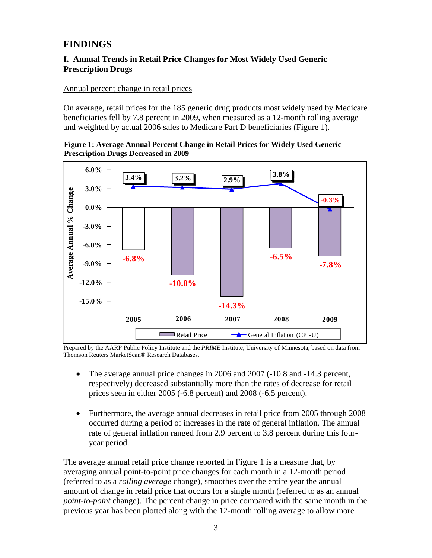# **FINDINGS**

#### **I. Annual Trends in Retail Price Changes for Most Widely Used Generic Prescription Drugs**

Annual percent change in retail prices

On average, retail prices for the 185 generic drug products most widely used by Medicare beneficiaries fell by 7.8 percent in 2009, when measured as a 12-month rolling average and weighted by actual 2006 sales to Medicare Part D beneficiaries (Figure 1).





Prepared by the AARP Public Policy Institute and the *PRIME* Institute, University of Minnesota, based on data from Thomson Reuters MarketScan® Research Databases.

- The average annual price changes in 2006 and 2007 (-10.8 and -14.3 percent, respectively) decreased substantially more than the rates of decrease for retail prices seen in either 2005 (-6.8 percent) and 2008 (-6.5 percent).
- Furthermore, the average annual decreases in retail price from 2005 through 2008 occurred during a period of increases in the rate of general inflation. The annual rate of general inflation ranged from 2.9 percent to 3.8 percent during this fouryear period.

The average annual retail price change reported in Figure 1 is a measure that, by averaging annual point-to-point price changes for each month in a 12-month period (referred to as a *rolling average* change), smoothes over the entire year the annual amount of change in retail price that occurs for a single month (referred to as an annual *point-to-point* change). The percent change in price compared with the same month in the previous year has been plotted along with the 12-month rolling average to allow more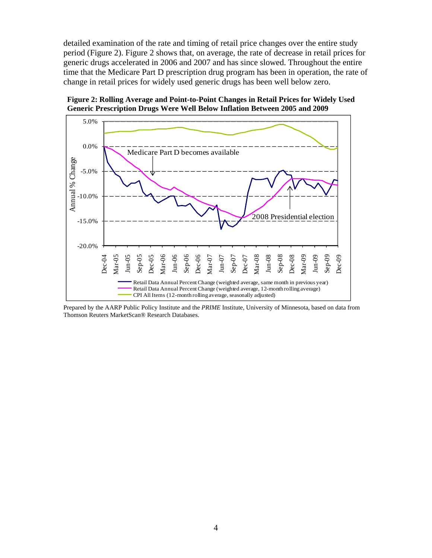detailed examination of the rate and timing of retail price changes over the entire study period (Figure 2). Figure 2 shows that, on average, the rate of decrease in retail prices for generic drugs accelerated in 2006 and 2007 and has since slowed. Throughout the entire time that the Medicare Part D prescription drug program has been in operation, the rate of change in retail prices for widely used generic drugs has been well below zero.





Prepared by the AARP Public Policy Institute and the *PRIME* Institute, University of Minnesota, based on data from Thomson Reuters MarketScan® Research Databases.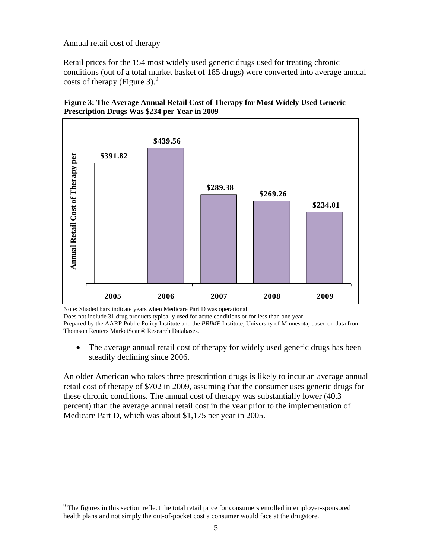#### Annual retail cost of therapy

Retail prices for the 154 most widely used generic drugs used for treating chronic conditions (out of a total market basket of 185 drugs) were converted into average annual costs of therapy (Figure 3). $9$ 





Note: Shaded bars indicate years when Medicare Part D was operational.

1

Does not include 31 drug products typically used for acute conditions or for less than one year.

Prepared by the AARP Public Policy Institute and the *PRIME* Institute, University of Minnesota, based on data from Thomson Reuters MarketScan® Research Databases.

• The average annual retail cost of therapy for widely used generic drugs has been steadily declining since 2006.

An older American who takes three prescription drugs is likely to incur an average annual retail cost of therapy of \$702 in 2009, assuming that the consumer uses generic drugs for these chronic conditions. The annual cost of therapy was substantially lower (40.3 percent) than the average annual retail cost in the year prior to the implementation of Medicare Part D, which was about \$1,175 per year in 2005.

<sup>&</sup>lt;sup>9</sup> The figures in this section reflect the total retail price for consumers enrolled in employer-sponsored health plans and not simply the out-of-pocket cost a consumer would face at the drugstore.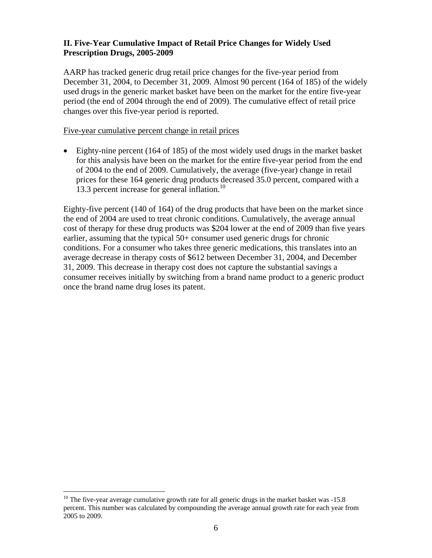#### **II. Five-Year Cumulative Impact of Retail Price Changes for Widely Used Prescription Drugs, 2005-2009**

AARP has tracked generic drug retail price changes for the five-year period from December 31, 2004, to December 31, 2009. Almost 90 percent (164 of 185) of the widely used drugs in the generic market basket have been on the market for the entire five-year period (the end of 2004 through the end of 2009). The cumulative effect of retail price changes over this five-year period is reported.

#### Five-year cumulative percent change in retail prices

 Eighty-nine percent (164 of 185) of the most widely used drugs in the market basket for this analysis have been on the market for the entire five-year period from the end of 2004 to the end of 2009. Cumulatively, the average (five-year) change in retail prices for these 164 generic drug products decreased 35.0 percent, compared with a 13.3 percent increase for general inflation.<sup>10</sup>

Eighty-five percent (140 of 164) of the drug products that have been on the market since the end of 2004 are used to treat chronic conditions. Cumulatively, the average annual cost of therapy for these drug products was \$204 lower at the end of 2009 than five years earlier, assuming that the typical 50+ consumer used generic drugs for chronic conditions. For a consumer who takes three generic medications, this translates into an average decrease in therapy costs of \$612 between December 31, 2004, and December 31, 2009. This decrease in therapy cost does not capture the substantial savings a consumer receives initially by switching from a brand name product to a generic product once the brand name drug loses its patent.

<sup>1</sup>  $10$  The five-year average cumulative growth rate for all generic drugs in the market basket was -15.8 percent. This number was calculated by compounding the average annual growth rate for each year from 2005 to 2009.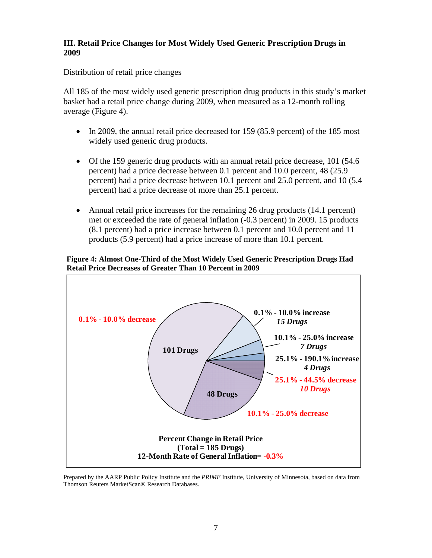#### **III. Retail Price Changes for Most Widely Used Generic Prescription Drugs in 2009**

#### Distribution of retail price changes

All 185 of the most widely used generic prescription drug products in this study's market basket had a retail price change during 2009, when measured as a 12-month rolling average (Figure 4).

- In 2009, the annual retail price decreased for 159 (85.9 percent) of the 185 most widely used generic drug products.
- Of the 159 generic drug products with an annual retail price decrease, 101 (54.6 percent) had a price decrease between 0.1 percent and 10.0 percent, 48 (25.9 percent) had a price decrease between 10.1 percent and 25.0 percent, and 10 (5.4 percent) had a price decrease of more than 25.1 percent.
- Annual retail price increases for the remaining 26 drug products (14.1 percent) met or exceeded the rate of general inflation (-0.3 percent) in 2009. 15 products (8.1 percent) had a price increase between 0.1 percent and 10.0 percent and 11 products (5.9 percent) had a price increase of more than 10.1 percent.

#### **Figure 4: Almost One-Third of the Most Widely Used Generic Prescription Drugs Had Retail Price Decreases of Greater Than 10 Percent in 2009**



Prepared by the AARP Public Policy Institute and the *PRIME* Institute, University of Minnesota, based on data from Thomson Reuters MarketScan® Research Databases.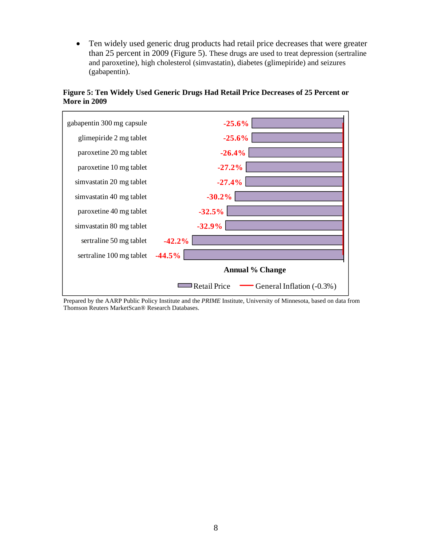Ten widely used generic drug products had retail price decreases that were greater than 25 percent in 2009 (Figure 5). These drugs are used to treat depression (sertraline and paroxetine), high cholesterol (simvastatin), diabetes (glimepiride) and seizures (gabapentin).

**Figure 5: Ten Widely Used Generic Drugs Had Retail Price Decreases of 25 Percent or More in 2009**



Prepared by the AARP Public Policy Institute and the *PRIME* Institute, University of Minnesota, based on data from Thomson Reuters MarketScan® Research Databases.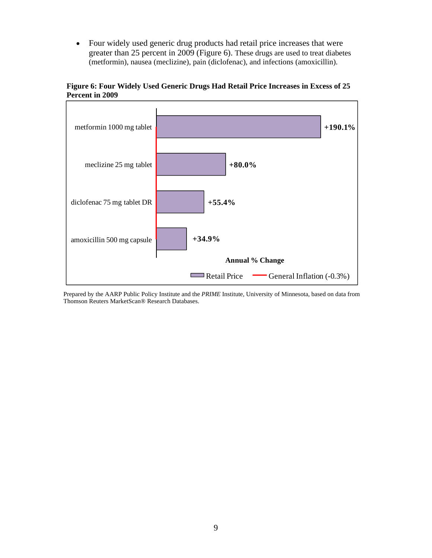Four widely used generic drug products had retail price increases that were greater than 25 percent in 2009 (Figure 6). These drugs are used to treat diabetes (metformin), nausea (meclizine), pain (diclofenac), and infections (amoxicillin).



**Figure 6: Four Widely Used Generic Drugs Had Retail Price Increases in Excess of 25 Percent in 2009** 

Prepared by the AARP Public Policy Institute and the *PRIME* Institute, University of Minnesota, based on data from Thomson Reuters MarketScan® Research Databases.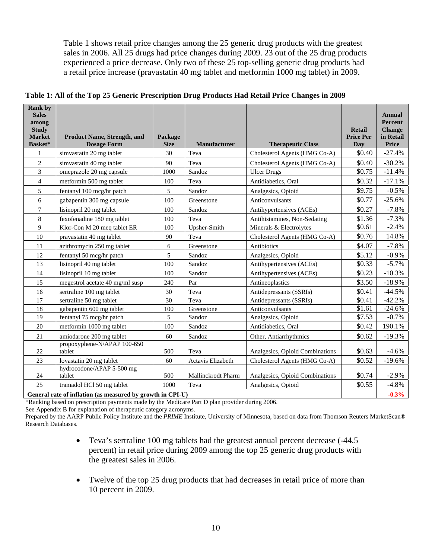Table 1 shows retail price changes among the 25 generic drug products with the greatest sales in 2006. All 25 drugs had price changes during 2009. 23 out of the 25 drug products experienced a price decrease. Only two of these 25 top-selling generic drug products had a retail price increase (pravastatin 40 mg tablet and metformin 1000 mg tablet) in 2009.

| <b>Rank by</b><br><b>Sales</b><br>among<br><b>Study</b><br><b>Market</b><br>Basket* | <b>Product Name, Strength, and</b><br><b>Dosage Form</b> | Package<br><b>Size</b> | <b>Manufacturer</b> | <b>Therapeutic Class</b>        | <b>Retail</b><br><b>Price Per</b><br>Day | Annual<br>Percent<br><b>Change</b><br>in Retail<br><b>Price</b> |
|-------------------------------------------------------------------------------------|----------------------------------------------------------|------------------------|---------------------|---------------------------------|------------------------------------------|-----------------------------------------------------------------|
| $\mathbf{1}$                                                                        | simvastatin 20 mg tablet                                 | 30                     | Teva                | Cholesterol Agents (HMG Co-A)   | \$0.40                                   | $-27.4%$                                                        |
| $\overline{2}$                                                                      | simvastatin 40 mg tablet                                 | 90                     | Teva                | Cholesterol Agents (HMG Co-A)   | \$0.40                                   | $-30.2%$                                                        |
| 3                                                                                   | omeprazole 20 mg capsule                                 | 1000                   | Sandoz              | <b>Ulcer Drugs</b>              | \$0.75                                   | $-11.4%$                                                        |
| $\overline{4}$                                                                      | metformin 500 mg tablet                                  | 100                    | Teva                | Antidiabetics, Oral             | \$0.32                                   | $-17.1%$                                                        |
| 5                                                                                   | fentanyl 100 mcg/hr patch                                | 5                      | Sandoz              | Analgesics, Opioid              | \$9.75                                   | $-0.5%$                                                         |
| 6                                                                                   | gabapentin 300 mg capsule                                | 100                    | Greenstone          | Anticonvulsants                 | \$0.77                                   | $-25.6%$                                                        |
| $\tau$                                                                              | lisinopril 20 mg tablet                                  | 100                    | Sandoz              | Antihypertensives (ACEs)        | \$0.27                                   | $-7.8%$                                                         |
| $\,8\,$                                                                             | fexofenadine 180 mg tablet                               | 100                    | Teva                | Antihistamines, Non-Sedating    | \$1.36                                   | $-7.3%$                                                         |
| 9                                                                                   | Klor-Con M 20 meg tablet ER                              | 100                    | Upsher-Smith        | Minerals & Electrolytes         | \$0.61                                   | $-2.4%$                                                         |
| 10                                                                                  | pravastatin 40 mg tablet                                 | 90                     | Teva                | Cholesterol Agents (HMG Co-A)   | \$0.76                                   | 14.8%                                                           |
| 11                                                                                  | azithromycin 250 mg tablet                               | 6                      | Greenstone          | Antibiotics                     | \$4.07                                   | $-7.8%$                                                         |
| 12                                                                                  | fentanyl 50 mcg/hr patch                                 | 5                      | Sandoz              | Analgesics, Opioid              | \$5.12                                   | $-0.9\%$                                                        |
| 13                                                                                  | lisinopril 40 mg tablet                                  | 100                    | Sandoz              | Antihypertensives (ACEs)        | \$0.33                                   | $-5.7%$                                                         |
| 14                                                                                  | lisinopril 10 mg tablet                                  | 100                    | Sandoz              | Antihypertensives (ACEs)        | \$0.23                                   | $-10.3%$                                                        |
| 15                                                                                  | megestrol acetate 40 mg/ml susp                          | 240                    | Par                 | Antineoplastics                 | \$3.50                                   | $-18.9%$                                                        |
| 16                                                                                  | sertraline 100 mg tablet                                 | 30                     | Teva                | Antidepressants (SSRIs)         | \$0.41                                   | $-44.5%$                                                        |
| 17                                                                                  | sertraline 50 mg tablet                                  | 30                     | Teva                | Antidepressants (SSRIs)         | \$0.41                                   | $-42.2%$                                                        |
| 18                                                                                  | gabapentin 600 mg tablet                                 | 100                    | Greenstone          | Anticonvulsants                 | \$1.61                                   | $-24.6%$                                                        |
| 19                                                                                  | fentanyl 75 mcg/hr patch                                 | 5                      | Sandoz              | Analgesics, Opioid              | \$7.53                                   | $-0.7%$                                                         |
| 20                                                                                  | metformin 1000 mg tablet                                 | 100                    | Sandoz              | Antidiabetics, Oral             | \$0.42                                   | 190.1%                                                          |
| 21                                                                                  | amiodarone 200 mg tablet                                 | 60                     | Sandoz              | Other, Antiarrhythmics          | \$0.62                                   | $-19.3%$                                                        |
| 22                                                                                  | propoxyphene-N/APAP 100-650<br>tablet                    | 500                    | Teva                | Analgesics, Opioid Combinations | \$0.63                                   | $-4.6%$                                                         |
| 23                                                                                  | lovastatin 20 mg tablet                                  | 60                     | Actavis Elizabeth   | Cholesterol Agents (HMG Co-A)   | \$0.52                                   | $-19.6%$                                                        |
| 24                                                                                  | hydrocodone/APAP 5-500 mg<br>tablet                      | 500                    | Mallinckrodt Pharm  | Analgesics, Opioid Combinations | \$0.74                                   | $-2.9%$                                                         |
| 25                                                                                  | tramadol HCl 50 mg tablet                                | 1000                   | Teva                | Analgesics, Opioid              | \$0.55                                   | $-4.8%$                                                         |

**Table 1: All of the Top 25 Generic Prescription Drug Products Had Retail Price Changes in 2009** 

**General rate of inflation (as measured by growth in CPI-U)**  $-0.3\%$ 

\*Ranking based on prescription payments made by the Medicare Part D plan provider during 2006.

See Appendix B for explanation of therapeutic category acronyms.

Prepared by the AARP Public Policy Institute and the *PRIME* Institute, University of Minnesota, based on data from Thomson Reuters MarketScan® Research Databases.

- Teva's sertraline 100 mg tablets had the greatest annual percent decrease  $(-44.5)$ percent) in retail price during 2009 among the top 25 generic drug products with the greatest sales in 2006.
- Twelve of the top 25 drug products that had decreases in retail price of more than 10 percent in 2009.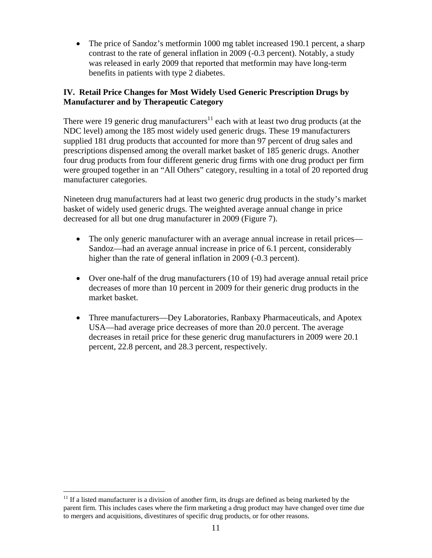• The price of Sandoz's metformin 1000 mg tablet increased 190.1 percent, a sharp contrast to the rate of general inflation in 2009 (-0.3 percent). Notably, a study was released in early 2009 that reported that metformin may have long-term benefits in patients with type 2 diabetes.

#### **IV. Retail Price Changes for Most Widely Used Generic Prescription Drugs by Manufacturer and by Therapeutic Category**

There were 19 generic drug manufacturers<sup>11</sup> each with at least two drug products (at the NDC level) among the 185 most widely used generic drugs. These 19 manufacturers supplied 181 drug products that accounted for more than 97 percent of drug sales and prescriptions dispensed among the overall market basket of 185 generic drugs. Another four drug products from four different generic drug firms with one drug product per firm were grouped together in an "All Others" category, resulting in a total of 20 reported drug manufacturer categories.

Nineteen drug manufacturers had at least two generic drug products in the study's market basket of widely used generic drugs. The weighted average annual change in price decreased for all but one drug manufacturer in 2009 (Figure 7).

- The only generic manufacturer with an average annual increase in retail prices— Sandoz—had an average annual increase in price of 6.1 percent, considerably higher than the rate of general inflation in 2009 (-0.3 percent).
- Over one-half of the drug manufacturers (10 of 19) had average annual retail price decreases of more than 10 percent in 2009 for their generic drug products in the market basket.
- Three manufacturers—Dey Laboratories, Ranbaxy Pharmaceuticals, and Apotex USA—had average price decreases of more than 20.0 percent. The average decreases in retail price for these generic drug manufacturers in 2009 were 20.1 percent, 22.8 percent, and 28.3 percent, respectively.

 $\overline{a}$  $11$  If a listed manufacturer is a division of another firm, its drugs are defined as being marketed by the parent firm. This includes cases where the firm marketing a drug product may have changed over time due to mergers and acquisitions, divestitures of specific drug products, or for other reasons.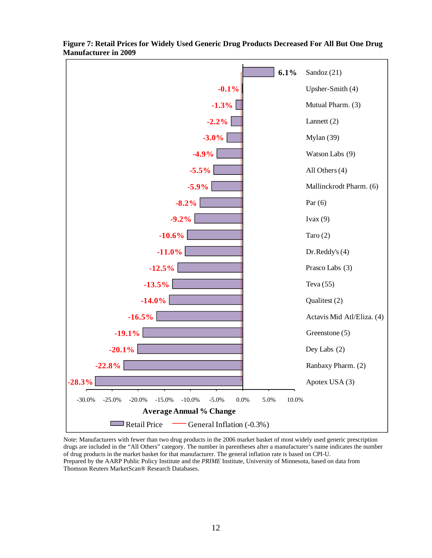

**Figure 7: Retail Prices for Widely Used Generic Drug Products Decreased For All But One Drug Manufacturer in 2009**

Note: Manufacturers with fewer than two drug products in the 2006 market basket of most widely used generic prescription drugs are included in the "All Others" category. The number in parentheses after a manufacturer's name indicates the number of drug products in the market basket for that manufacturer. The general inflation rate is based on CPI-U. Prepared by the AARP Public Policy Institute and the *PRIME* Institute, University of Minnesota, based on data from Thomson Reuters MarketScan® Research Databases.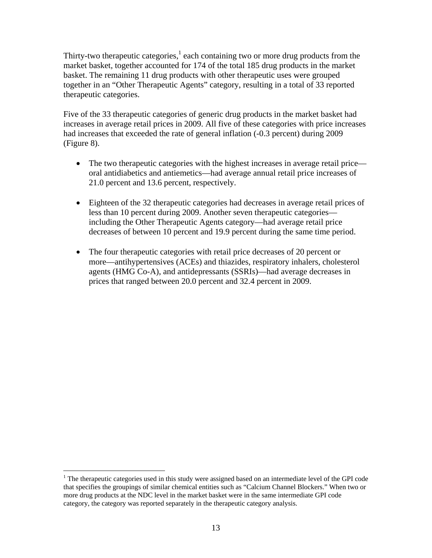Thirty-two therapeutic categories, $<sup>1</sup>$  each containing two or more drug products from the</sup> market basket, together accounted for 174 of the total 185 drug products in the market basket. The remaining 11 drug products with other therapeutic uses were grouped together in an "Other Therapeutic Agents" category, resulting in a total of 33 reported therapeutic categories.

Five of the 33 therapeutic categories of generic drug products in the market basket had increases in average retail prices in 2009. All five of these categories with price increases had increases that exceeded the rate of general inflation (-0.3 percent) during 2009 (Figure 8).

- The two therapeutic categories with the highest increases in average retail price oral antidiabetics and antiemetics—had average annual retail price increases of 21.0 percent and 13.6 percent, respectively.
- Eighteen of the 32 therapeutic categories had decreases in average retail prices of less than 10 percent during 2009. Another seven therapeutic categories including the Other Therapeutic Agents category—had average retail price decreases of between 10 percent and 19.9 percent during the same time period.
- The four therapeutic categories with retail price decreases of 20 percent or more—antihypertensives (ACEs) and thiazides, respiratory inhalers, cholesterol agents (HMG Co-A), and antidepressants (SSRIs)—had average decreases in prices that ranged between 20.0 percent and 32.4 percent in 2009.

<sup>&</sup>lt;sup>1</sup> The therapeutic categories used in this study were assigned based on an intermediate level of the GPI code that specifies the groupings of similar chemical entities such as "Calcium Channel Blockers." When two or more drug products at the NDC level in the market basket were in the same intermediate GPI code category, the category was reported separately in the therapeutic category analysis.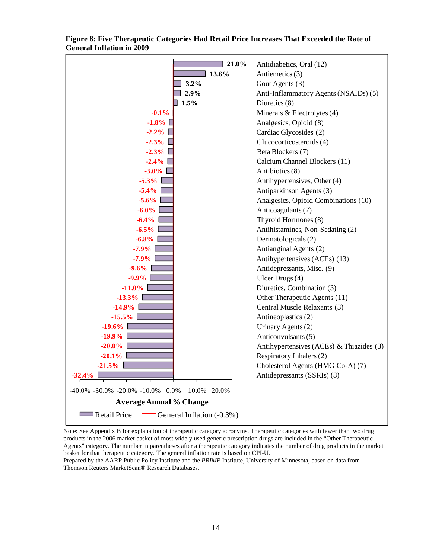

**Figure 8: Five Therapeutic Categories Had Retail Price Increases That Exceeded the Rate of General Inflation in 2009**

Note: See Appendix B for explanation of therapeutic category acronyms. Therapeutic categories with fewer than two drug products in the 2006 market basket of most widely used generic prescription drugs are included in the "Other Therapeutic Agents" category. The number in parentheses after a therapeutic category indicates the number of drug products in the market basket for that therapeutic category. The general inflation rate is based on CPI-U.

Prepared by the AARP Public Policy Institute and the *PRIME* Institute, University of Minnesota, based on data from Thomson Reuters MarketScan® Research Databases.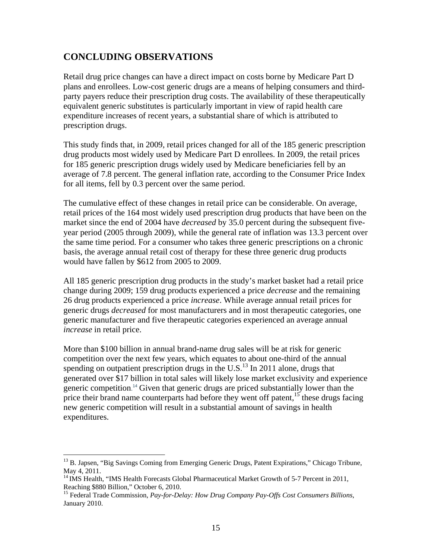### **CONCLUDING OBSERVATIONS**

Retail drug price changes can have a direct impact on costs borne by Medicare Part D plans and enrollees. Low-cost generic drugs are a means of helping consumers and thirdparty payers reduce their prescription drug costs. The availability of these therapeutically equivalent generic substitutes is particularly important in view of rapid health care expenditure increases of recent years, a substantial share of which is attributed to prescription drugs.

This study finds that, in 2009, retail prices changed for all of the 185 generic prescription drug products most widely used by Medicare Part D enrollees. In 2009, the retail prices for 185 generic prescription drugs widely used by Medicare beneficiaries fell by an average of 7.8 percent. The general inflation rate, according to the Consumer Price Index for all items, fell by 0.3 percent over the same period.

The cumulative effect of these changes in retail price can be considerable. On average, retail prices of the 164 most widely used prescription drug products that have been on the market since the end of 2004 have *decreased* by 35.0 percent during the subsequent fiveyear period (2005 through 2009), while the general rate of inflation was 13.3 percent over the same time period. For a consumer who takes three generic prescriptions on a chronic basis, the average annual retail cost of therapy for these three generic drug products would have fallen by \$612 from 2005 to 2009.

All 185 generic prescription drug products in the study's market basket had a retail price change during 2009; 159 drug products experienced a price *decrease* and the remaining 26 drug products experienced a price *increase*. While average annual retail prices for generic drugs *decreased* for most manufacturers and in most therapeutic categories, one generic manufacturer and five therapeutic categories experienced an average annual *increase* in retail price.

More than \$100 billion in annual brand-name drug sales will be at risk for generic competition over the next few years, which equates to about one-third of the annual spending on outpatient prescription drugs in the U.S. $<sup>13</sup>$  In 2011 alone, drugs that</sup> generated over \$17 billion in total sales will likely lose market exclusivity and experience generic competition. <sup>14</sup> Given that generic drugs are priced substantially lower than the price their brand name counterparts had before they went off patent,  $15$  these drugs facing new generic competition will result in a substantial amount of savings in health expenditures.

<sup>&</sup>lt;sup>13</sup> B. Japsen, "Big Savings Coming from Emerging Generic Drugs, Patent Expirations," Chicago Tribune, May 4, 2011.

<sup>&</sup>lt;sup>14</sup> IMS Health, "IMS Health Forecasts Global Pharmaceutical Market Growth of 5-7 Percent in 2011, Reaching \$880 Billion," October 6, 2010.<br><sup>15</sup> Federal Trade Commission, *Pay-for-Delay: How Drug Company Pay-Offs Cost Consumers Billions*,

January 2010.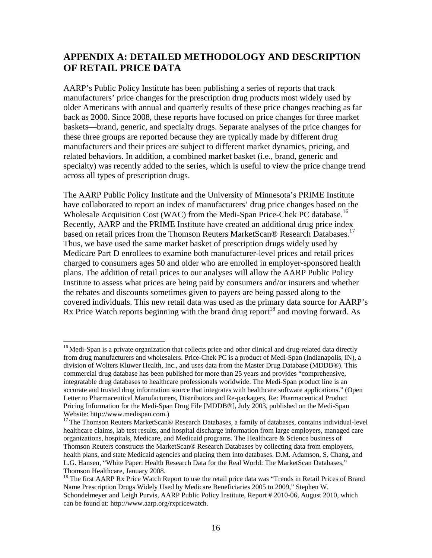### **APPENDIX A: DETAILED METHODOLOGY AND DESCRIPTION OF RETAIL PRICE DATA**

AARP's Public Policy Institute has been publishing a series of reports that track manufacturers' price changes for the prescription drug products most widely used by older Americans with annual and quarterly results of these price changes reaching as far back as 2000. Since 2008, these reports have focused on price changes for three market baskets—brand, generic, and specialty drugs. Separate analyses of the price changes for these three groups are reported because they are typically made by different drug manufacturers and their prices are subject to different market dynamics, pricing, and related behaviors. In addition, a combined market basket (i.e., brand, generic and specialty) was recently added to the series, which is useful to view the price change trend across all types of prescription drugs.

The AARP Public Policy Institute and the University of Minnesota's PRIME Institute have collaborated to report an index of manufacturers' drug price changes based on the Wholesale Acquisition Cost (WAC) from the Medi-Span Price-Chek PC database.<sup>16</sup> Recently, AARP and the PRIME Institute have created an additional drug price index based on retail prices from the Thomson Reuters MarketScan® Research Databases.<sup>17</sup> Thus, we have used the same market basket of prescription drugs widely used by Medicare Part D enrollees to examine both manufacturer-level prices and retail prices charged to consumers ages 50 and older who are enrolled in employer-sponsored health plans. The addition of retail prices to our analyses will allow the AARP Public Policy Institute to assess what prices are being paid by consumers and/or insurers and whether the rebates and discounts sometimes given to payers are being passed along to the covered individuals. This new retail data was used as the primary data source for AARP's Rx Price Watch reports beginning with the brand drug report<sup>18</sup> and moving forward. As

<sup>&</sup>lt;sup>16</sup> Medi-Span is a private organization that collects price and other clinical and drug-related data directly from drug manufacturers and wholesalers. Price-Chek PC is a product of Medi-Span (Indianapolis, IN), a division of Wolters Kluwer Health, Inc., and uses data from the Master Drug Database (MDDB®). This commercial drug database has been published for more than 25 years and provides "comprehensive, integratable drug databases to healthcare professionals worldwide. The Medi-Span product line is an accurate and trusted drug information source that integrates with healthcare software applications." (Open Letter to Pharmaceutical Manufacturers, Distributors and Re-packagers, Re: Pharmaceutical Product Pricing Information for the Medi-Span Drug File [MDDB®], July 2003, published on the Medi-Span Website: http://www.medispan.com.)

<sup>&</sup>lt;sup>17</sup> The Thomson Reuters MarketScan® Research Databases, a family of databases, contains individual-level healthcare claims, lab test results, and hospital discharge information from large employers, managed care organizations, hospitals, Medicare, and Medicaid programs. The Healthcare & Science business of Thomson Reuters constructs the MarketScan® Research Databases by collecting data from employers, health plans, and state Medicaid agencies and placing them into databases. D.M. Adamson, S. Chang, and L.G. Hansen, "White Paper: Health Research Data for the Real World: The MarketScan Databases," Thomson Healthcare, January 2008.

<sup>&</sup>lt;sup>18</sup> The first AARP Rx Price Watch Report to use the retail price data was "Trends in Retail Prices of Brand Name Prescription Drugs Widely Used by Medicare Beneficiaries 2005 to 2009," Stephen W. Schondelmeyer and Leigh Purvis, AARP Public Policy Institute, Report # 2010-06, August 2010, which can be found at: http://www.aarp.org/rxpricewatch.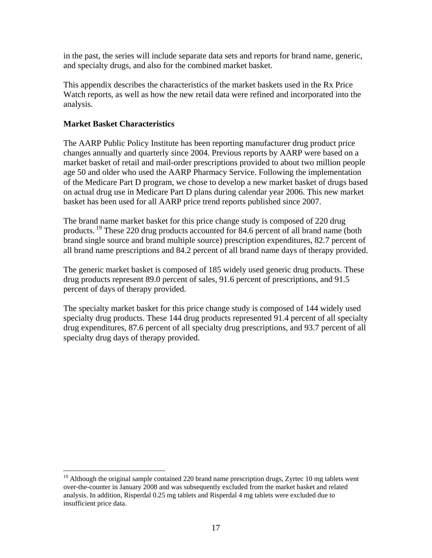in the past, the series will include separate data sets and reports for brand name, generic, and specialty drugs, and also for the combined market basket.

This appendix describes the characteristics of the market baskets used in the Rx Price Watch reports, as well as how the new retail data were refined and incorporated into the analysis.

#### **Market Basket Characteristics**

 $\overline{a}$ 

The AARP Public Policy Institute has been reporting manufacturer drug product price changes annually and quarterly since 2004. Previous reports by AARP were based on a market basket of retail and mail-order prescriptions provided to about two million people age 50 and older who used the AARP Pharmacy Service. Following the implementation of the Medicare Part D program, we chose to develop a new market basket of drugs based on actual drug use in Medicare Part D plans during calendar year 2006. This new market basket has been used for all AARP price trend reports published since 2007.

The brand name market basket for this price change study is composed of 220 drug products.<sup>19</sup> These 220 drug products accounted for 84.6 percent of all brand name (both brand single source and brand multiple source) prescription expenditures, 82.7 percent of all brand name prescriptions and 84.2 percent of all brand name days of therapy provided.

The generic market basket is composed of 185 widely used generic drug products. These drug products represent 89.0 percent of sales, 91.6 percent of prescriptions, and 91.5 percent of days of therapy provided.

The specialty market basket for this price change study is composed of 144 widely used specialty drug products. These 144 drug products represented 91.4 percent of all specialty drug expenditures, 87.6 percent of all specialty drug prescriptions, and 93.7 percent of all specialty drug days of therapy provided.

 $19$  Although the original sample contained 220 brand name prescription drugs, Zyrtec 10 mg tablets went over-the-counter in January 2008 and was subsequently excluded from the market basket and related analysis. In addition, Risperdal 0.25 mg tablets and Risperdal 4 mg tablets were excluded due to insufficient price data.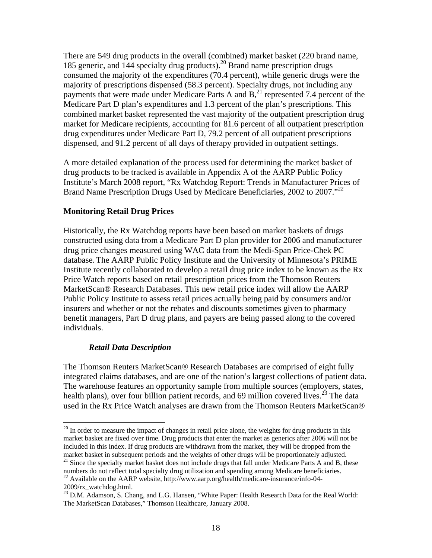There are 549 drug products in the overall (combined) market basket (220 brand name, 185 generic, and 144 specialty drug products).<sup>20</sup> Brand name prescription drugs consumed the majority of the expenditures (70.4 percent), while generic drugs were the majority of prescriptions dispensed (58.3 percent). Specialty drugs, not including any payments that were made under Medicare Parts A and  $B<sub>1</sub><sup>21</sup>$  represented 7.4 percent of the Medicare Part D plan's expenditures and 1.3 percent of the plan's prescriptions. This combined market basket represented the vast majority of the outpatient prescription drug market for Medicare recipients, accounting for 81.6 percent of all outpatient prescription drug expenditures under Medicare Part D, 79.2 percent of all outpatient prescriptions dispensed, and 91.2 percent of all days of therapy provided in outpatient settings.

A more detailed explanation of the process used for determining the market basket of drug products to be tracked is available in Appendix A of the AARP Public Policy Institute's March 2008 report, "Rx Watchdog Report: Trends in Manufacturer Prices of Brand Name Prescription Drugs Used by Medicare Beneficiaries, 2002 to 2007.<sup>"22</sup>

#### **Monitoring Retail Drug Prices**

Historically, the Rx Watchdog reports have been based on market baskets of drugs constructed using data from a Medicare Part D plan provider for 2006 and manufacturer drug price changes measured using WAC data from the Medi-Span Price-Chek PC database. The AARP Public Policy Institute and the University of Minnesota's PRIME Institute recently collaborated to develop a retail drug price index to be known as the Rx Price Watch reports based on retail prescription prices from the Thomson Reuters MarketScan® Research Databases. This new retail price index will allow the AARP Public Policy Institute to assess retail prices actually being paid by consumers and/or insurers and whether or not the rebates and discounts sometimes given to pharmacy benefit managers, Part D drug plans, and payers are being passed along to the covered individuals.

#### *Retail Data Description*

The Thomson Reuters MarketScan® Research Databases are comprised of eight fully integrated claims databases, and are one of the nation's largest collections of patient data. The warehouse features an opportunity sample from multiple sources (employers, states, health plans), over four billion patient records, and 69 million covered lives.<sup>23</sup> The data used in the Rx Price Watch analyses are drawn from the Thomson Reuters MarketScan®

 $20$  In order to measure the impact of changes in retail price alone, the weights for drug products in this market basket are fixed over time. Drug products that enter the market as generics after 2006 will not be included in this index. If drug products are withdrawn from the market, they will be dropped from the market basket in subsequent periods and the weights of other drugs will be proportionately adjusted.

<sup>&</sup>lt;sup>21</sup> Since the specialty market basket does not include drugs that fall under Medicare Parts A and B, these numbers do not reflect total specialty drug utilization and spending among Medicare beneficiaries. <sup>22</sup> Available on the AARP website, http://www.aarp.org/health/medicare-insurance/info-04-

<sup>2009/</sup>rx\_watchdog.html.

<sup>23</sup> D.M. Adamson, S. Chang, and L.G. Hansen, "White Paper: Health Research Data for the Real World: The MarketScan Databases," Thomson Healthcare, January 2008.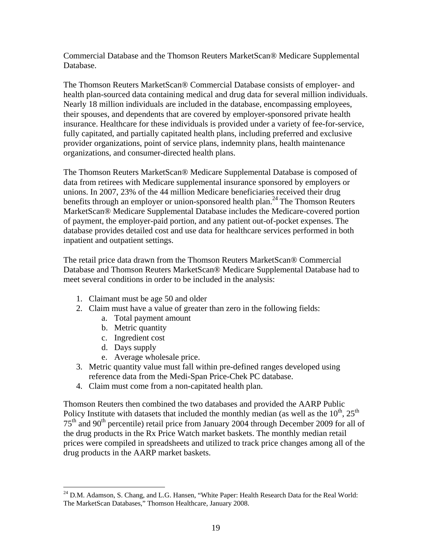Commercial Database and the Thomson Reuters MarketScan® Medicare Supplemental Database.

The Thomson Reuters MarketScan® Commercial Database consists of employer- and health plan-sourced data containing medical and drug data for several million individuals. Nearly 18 million individuals are included in the database, encompassing employees, their spouses, and dependents that are covered by employer-sponsored private health insurance. Healthcare for these individuals is provided under a variety of fee-for-service, fully capitated, and partially capitated health plans, including preferred and exclusive provider organizations, point of service plans, indemnity plans, health maintenance organizations, and consumer-directed health plans.

The Thomson Reuters MarketScan® Medicare Supplemental Database is composed of data from retirees with Medicare supplemental insurance sponsored by employers or unions. In 2007, 23% of the 44 million Medicare beneficiaries received their drug benefits through an employer or union-sponsored health plan.<sup>24</sup> The Thomson Reuters MarketScan® Medicare Supplemental Database includes the Medicare-covered portion of payment, the employer-paid portion, and any patient out-of-pocket expenses. The database provides detailed cost and use data for healthcare services performed in both inpatient and outpatient settings.

The retail price data drawn from the Thomson Reuters MarketScan® Commercial Database and Thomson Reuters MarketScan® Medicare Supplemental Database had to meet several conditions in order to be included in the analysis:

- 1. Claimant must be age 50 and older
- 2. Claim must have a value of greater than zero in the following fields:
	- a. Total payment amount
	- b. Metric quantity
	- c. Ingredient cost
	- d. Days supply

 $\overline{a}$ 

- e. Average wholesale price.
- 3. Metric quantity value must fall within pre-defined ranges developed using reference data from the Medi-Span Price-Chek PC database.
- 4. Claim must come from a non-capitated health plan.

Thomson Reuters then combined the two databases and provided the AARP Public Policy Institute with datasets that included the monthly median (as well as the  $10^{th}$ ,  $25^{th}$ ) 75th and 90th percentile) retail price from January 2004 through December 2009 for all of the drug products in the Rx Price Watch market baskets. The monthly median retail prices were compiled in spreadsheets and utilized to track price changes among all of the drug products in the AARP market baskets.

 $24$  D.M. Adamson, S. Chang, and L.G. Hansen, "White Paper: Health Research Data for the Real World: The MarketScan Databases," Thomson Healthcare, January 2008.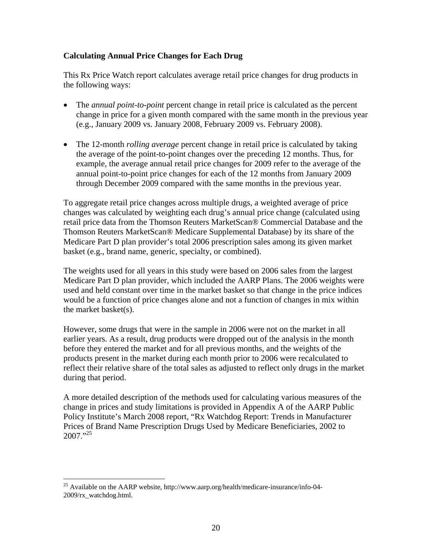#### **Calculating Annual Price Changes for Each Drug**

This Rx Price Watch report calculates average retail price changes for drug products in the following ways:

- The *annual point-to-point* percent change in retail price is calculated as the percent change in price for a given month compared with the same month in the previous year (e.g., January 2009 vs. January 2008, February 2009 vs. February 2008).
- The 12-month *rolling average* percent change in retail price is calculated by taking the average of the point-to-point changes over the preceding 12 months. Thus, for example, the average annual retail price changes for 2009 refer to the average of the annual point-to-point price changes for each of the 12 months from January 2009 through December 2009 compared with the same months in the previous year.

To aggregate retail price changes across multiple drugs, a weighted average of price changes was calculated by weighting each drug's annual price change (calculated using retail price data from the Thomson Reuters MarketScan® Commercial Database and the Thomson Reuters MarketScan® Medicare Supplemental Database) by its share of the Medicare Part D plan provider's total 2006 prescription sales among its given market basket (e.g., brand name, generic, specialty, or combined).

The weights used for all years in this study were based on 2006 sales from the largest Medicare Part D plan provider, which included the AARP Plans. The 2006 weights were used and held constant over time in the market basket so that change in the price indices would be a function of price changes alone and not a function of changes in mix within the market basket(s).

However, some drugs that were in the sample in 2006 were not on the market in all earlier years. As a result, drug products were dropped out of the analysis in the month before they entered the market and for all previous months, and the weights of the products present in the market during each month prior to 2006 were recalculated to reflect their relative share of the total sales as adjusted to reflect only drugs in the market during that period.

A more detailed description of the methods used for calculating various measures of the change in prices and study limitations is provided in Appendix A of the AARP Public Policy Institute's March 2008 report, "Rx Watchdog Report: Trends in Manufacturer Prices of Brand Name Prescription Drugs Used by Medicare Beneficiaries, 2002 to  $2007$ ."<sup>25</sup>

 $\overline{a}$ <sup>25</sup> Available on the AARP website, http://www.aarp.org/health/medicare-insurance/info-04-2009/rx\_watchdog.html.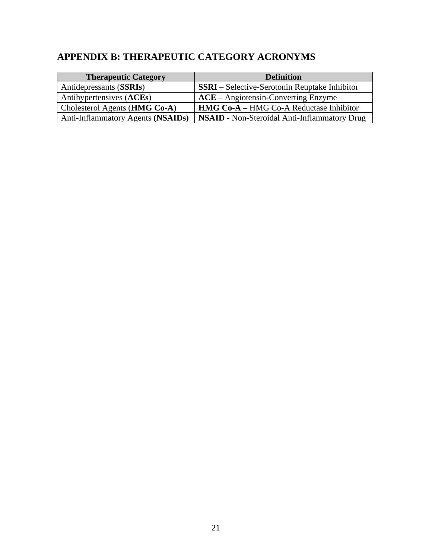# **APPENDIX B: THERAPEUTIC CATEGORY ACRONYMS**

| <b>Therapeutic Category</b>            | <b>Definition</b>                                    |
|----------------------------------------|------------------------------------------------------|
| Antidepressants (SSRIs)                | <b>SSRI</b> – Selective-Serotonin Reuptake Inhibitor |
| Antihypertensives (ACEs)               | $ACE - Angiotensin-Converting Enzyme$                |
| Cholesterol Agents ( <b>HMG Co-A</b> ) | <b>HMG Co-A</b> – HMG Co-A Reductase Inhibitor       |
| Anti-Inflammatory Agents (NSAIDs)      | <b>NSAID</b> - Non-Steroidal Anti-Inflammatory Drug  |